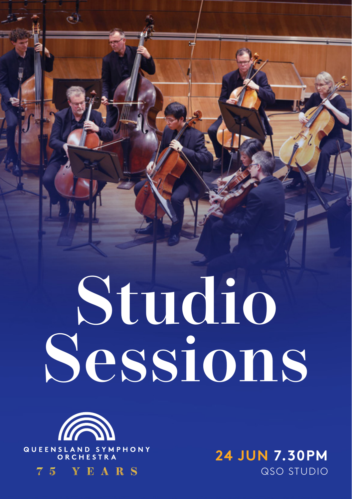# **Studio Sessions**



75 YEARS

QSO STUDIO **24 JUN 7.30PM**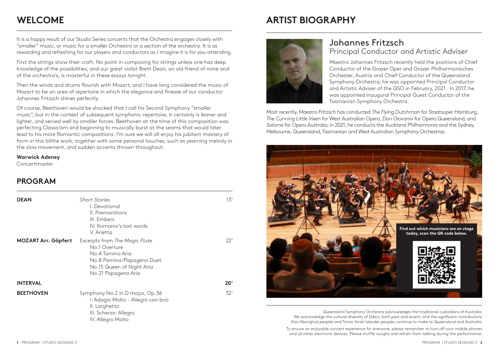## **WELCOME**

## **ARTIST BIOGRAPHY**

It is a happy result of our Studio Series concerts that the Orchestra engages closely with "smaller" music, or music for a smaller Orchestra or a section of the orchestra. It is as rewarding and refreshing for our players and conductors as I imagine it is for you attending.

First the strings show their craft. No point in composing for strings unless one has deep knowledge of the possibilities, and our great violist Brett Dean, an old friend of mine and of the orchestra's, is masterful in these essays tonight.

Then the winds and drums flourish with Mozart, and I have long considered the music of Mozart to be an area of repertoire in which the elegance and finesse of our conductor Johannes Fritzsch shines perfectly.

Of course, Beethoven would be shocked that I call his Second Symphony "smaller music", but in the context of subsequent symphonic repertoire, it certainly is leaner and lighter, and served well by smaller forces. Beethoven at the time of this composition was perfecting Classicism and beginning to musically burst at the seams that would later lead to his more Romantic compositions. I'm sure we will all enjoy his jubilant mastery of form in this blithe work, together with some personal touches, such as yearning melody in the slow movement, and sudden accents thrown throughout.

#### **Warwick Adeney**

Concertmaster

### **PROGRAM**

| <b>DEAN</b>                | <b>Short Stories</b><br>I. Devotional<br>II. Premonitions<br>III. Embers<br>IV. Komarov's last words<br>V. Arietta                                  | 13' |
|----------------------------|-----------------------------------------------------------------------------------------------------------------------------------------------------|-----|
| <b>MOZART Arr. Göpfert</b> | Excerpts from The Magic Flute<br>No.1 Overture<br>No.4 Tamino Aria<br>No.8 Pamina/Papageno Duet<br>No.15 Queen of Night Aria<br>No.21 Papageno Aria | 22' |
| <b>INTERVAL</b>            |                                                                                                                                                     | 20' |
| <b>BEETHOVEN</b>           | Symphony No.2 in D major, Op.36<br>I. Adagio Molto - Allegro con brio<br>II. Larghetto<br>III. Scherzo: Allegro<br>IV. Allegro Molto                | 32' |



## Johannes Fritzsch Principal Conductor and Artistic Adviser

Maestro Johannes Fritzsch recently held the positions of Chief Conductor of the Grazer Oper and Grazer Philharmonisches Orchester, Austria and Chief Conductor of the Queensland Symphony Orchestra; he was appointed Principal Conductor and Artistic Adviser of the QSO in February, 2021. In 2017, he was appointed inaugural Principal Guest Conductor of the Tasmanian Symphony Orchestra.

Most recently, Maestro Fritzsch has conducted *The Flying Dutchman* for Staatsoper Hamburg, *The Cunning Little Vixen* for West Australian Opera, *Don Giovanni* for Opera Queensland, and *Salome* for Opera Australia; in 2021, he conducts the Auckland Philharmonia and the Sydney, Melbourne, Queensland, Tasmanian and West Australian Symphony Orchestras.



Queensland Symphony Orchestra acknowledges the traditional custodians of Australia. We acknowledge the cultural diversity of Elders, both past and recent, and the significant contributions that Aboriginal peoples and Torres Strait Islander peoples continue to make to Queensland and Australia.

To ensure an enjoyable concert experience for everyone, please remember to turn off your mobile phones and all other electronic devices. Please muffle coughs and refrain from talking during the performance.